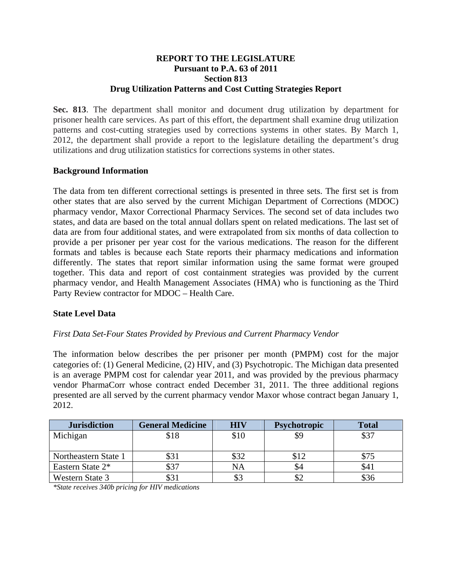## **REPORT TO THE LEGISLATURE Pursuant to P.A. 63 of 2011 Section 813 Drug Utilization Patterns and Cost Cutting Strategies Report**

**Sec. 813**. The department shall monitor and document drug utilization by department for prisoner health care services. As part of this effort, the department shall examine drug utilization patterns and cost-cutting strategies used by corrections systems in other states. By March 1, 2012, the department shall provide a report to the legislature detailing the department's drug utilizations and drug utilization statistics for corrections systems in other states.

# **Background Information**

The data from ten different correctional settings is presented in three sets. The first set is from other states that are also served by the current Michigan Department of Corrections (MDOC) pharmacy vendor, Maxor Correctional Pharmacy Services. The second set of data includes two states, and data are based on the total annual dollars spent on related medications. The last set of data are from four additional states, and were extrapolated from six months of data collection to provide a per prisoner per year cost for the various medications. The reason for the different formats and tables is because each State reports their pharmacy medications and information differently. The states that report similar information using the same format were grouped together. This data and report of cost containment strategies was provided by the current pharmacy vendor, and Health Management Associates (HMA) who is functioning as the Third Party Review contractor for MDOC – Health Care.

## **State Level Data**

## *First Data Set-Four States Provided by Previous and Current Pharmacy Vendor*

The information below describes the per prisoner per month (PMPM) cost for the major categories of: (1) General Medicine, (2) HIV, and (3) Psychotropic. The Michigan data presented is an average PMPM cost for calendar year 2011, and was provided by the previous pharmacy vendor PharmaCorr whose contract ended December 31, 2011. The three additional regions presented are all served by the current pharmacy vendor Maxor whose contract began January 1, 2012.

| <b>Jurisdiction</b>  | <b>General Medicine</b> | <b>HIV</b> | <b>Psychotropic</b> | Total |
|----------------------|-------------------------|------------|---------------------|-------|
| Michigan             | \$18                    | \$10       | \$9                 | \$37  |
|                      |                         |            |                     |       |
| Northeastern State 1 | \$31                    | \$32       | \$12                |       |
| Eastern State 2*     | \$37                    | NA         | \$4                 | \$41  |
| Western State 3      | \$31                    | \$3        |                     | \$36  |

*\*State receives 340b pricing for HIV medications*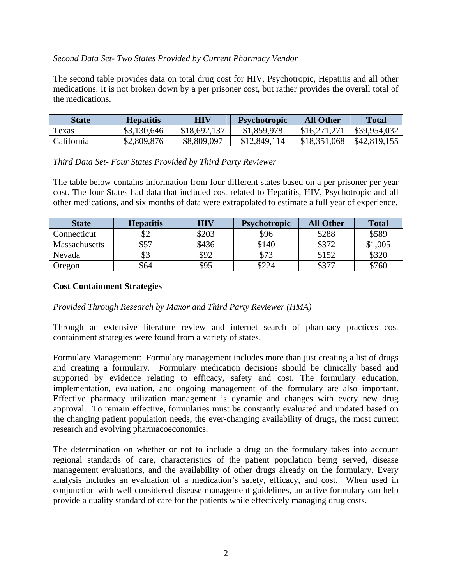## *Second Data Set- Two States Provided by Current Pharmacy Vendor*

The second table provides data on total drug cost for HIV, Psychotropic, Hepatitis and all other medications. It is not broken down by a per prisoner cost, but rather provides the overall total of the medications.

| State      | <b>Hepatitis</b> | <b>HIV</b>   | <b>Psychotropic</b> | <b>All Other</b> | Total        |
|------------|------------------|--------------|---------------------|------------------|--------------|
| Texas      | \$3,130,646      | \$18,692,137 | \$1,859,978         | \$16,271,271     | \$39,954,032 |
| California | \$2,809,876      | \$8,809,097  | \$12,849,114        | \$18,351,068     | \$42,819,155 |

## *Third Data Set- Four States Provided by Third Party Reviewer*

The table below contains information from four different states based on a per prisoner per year cost. The four States had data that included cost related to Hepatitis, HIV, Psychotropic and all other medications, and six months of data were extrapolated to estimate a full year of experience.

| <b>State</b>  | <b>Hepatitis</b> | <b>HIV</b> | <b>Psychotropic</b> | <b>All Other</b> | <b>Total</b> |
|---------------|------------------|------------|---------------------|------------------|--------------|
| Connecticut   | \$2              | \$203      | \$96                | \$288            | \$589        |
| Massachusetts | \$57             | \$436      | \$140               | \$372            | \$1,005      |
| Nevada        | \$3              | \$92       | \$73                | \$152            | \$320        |
| Oregon        | \$64             | \$95       | \$224               | \$377            | \$760        |

# **Cost Containment Strategies**

## *Provided Through Research by Maxor and Third Party Reviewer (HMA)*

Through an extensive literature review and internet search of pharmacy practices cost containment strategies were found from a variety of states.

Formulary Management: Formulary management includes more than just creating a list of drugs and creating a formulary. Formulary medication decisions should be clinically based and supported by evidence relating to efficacy, safety and cost. The formulary education, implementation, evaluation, and ongoing management of the formulary are also important. Effective pharmacy utilization management is dynamic and changes with every new drug approval. To remain effective, formularies must be constantly evaluated and updated based on the changing patient population needs, the ever-changing availability of drugs, the most current research and evolving pharmacoeconomics.

The determination on whether or not to include a drug on the formulary takes into account regional standards of care, characteristics of the patient population being served, disease management evaluations, and the availability of other drugs already on the formulary. Every analysis includes an evaluation of a medication's safety, efficacy, and cost. When used in conjunction with well considered disease management guidelines, an active formulary can help provide a quality standard of care for the patients while effectively managing drug costs.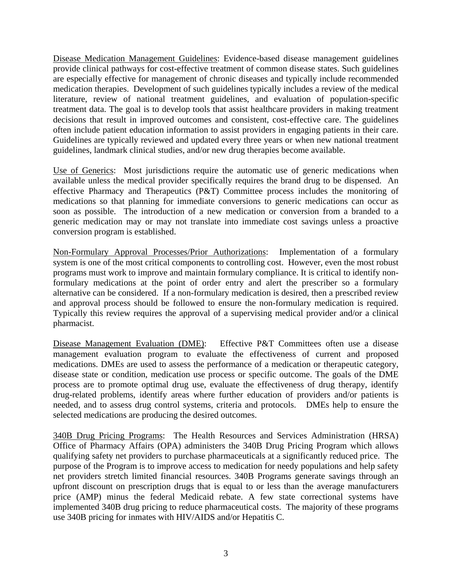Disease Medication Management Guidelines: Evidence-based disease management guidelines provide clinical pathways for cost-effective treatment of common disease states. Such guidelines are especially effective for management of chronic diseases and typically include recommended medication therapies. Development of such guidelines typically includes a review of the medical literature, review of national treatment guidelines, and evaluation of population-specific treatment data. The goal is to develop tools that assist healthcare providers in making treatment decisions that result in improved outcomes and consistent, cost-effective care. The guidelines often include patient education information to assist providers in engaging patients in their care. Guidelines are typically reviewed and updated every three years or when new national treatment guidelines, landmark clinical studies, and/or new drug therapies become available.

Use of Generics: Most jurisdictions require the automatic use of generic medications when available unless the medical provider specifically requires the brand drug to be dispensed. An effective Pharmacy and Therapeutics (P&T) Committee process includes the monitoring of medications so that planning for immediate conversions to generic medications can occur as soon as possible. The introduction of a new medication or conversion from a branded to a generic medication may or may not translate into immediate cost savings unless a proactive conversion program is established.

Non-Formulary Approval Processes/Prior Authorizations: Implementation of a formulary system is one of the most critical components to controlling cost. However, even the most robust programs must work to improve and maintain formulary compliance. It is critical to identify nonformulary medications at the point of order entry and alert the prescriber so a formulary alternative can be considered. If a non-formulary medication is desired, then a prescribed review and approval process should be followed to ensure the non-formulary medication is required. Typically this review requires the approval of a supervising medical provider and/or a clinical pharmacist.

Disease Management Evaluation (DME): Effective P&T Committees often use a disease management evaluation program to evaluate the effectiveness of current and proposed medications. DMEs are used to assess the performance of a medication or therapeutic category, disease state or condition, medication use process or specific outcome. The goals of the DME process are to promote optimal drug use, evaluate the effectiveness of drug therapy, identify drug-related problems, identify areas where further education of providers and/or patients is needed, and to assess drug control systems, criteria and protocols. DMEs help to ensure the selected medications are producing the desired outcomes.

340B Drug Pricing Programs: The Health Resources and Services Administration (HRSA) Office of Pharmacy Affairs (OPA) administers the 340B Drug Pricing Program which allows qualifying safety net providers to purchase pharmaceuticals at a significantly reduced price. The purpose of the Program is to improve access to medication for needy populations and help safety net providers stretch limited financial resources. 340B Programs generate savings through an upfront discount on prescription drugs that is equal to or less than the average manufacturers price (AMP) minus the federal Medicaid rebate. A few state correctional systems have implemented 340B drug pricing to reduce pharmaceutical costs. The majority of these programs use 340B pricing for inmates with HIV/AIDS and/or Hepatitis C.